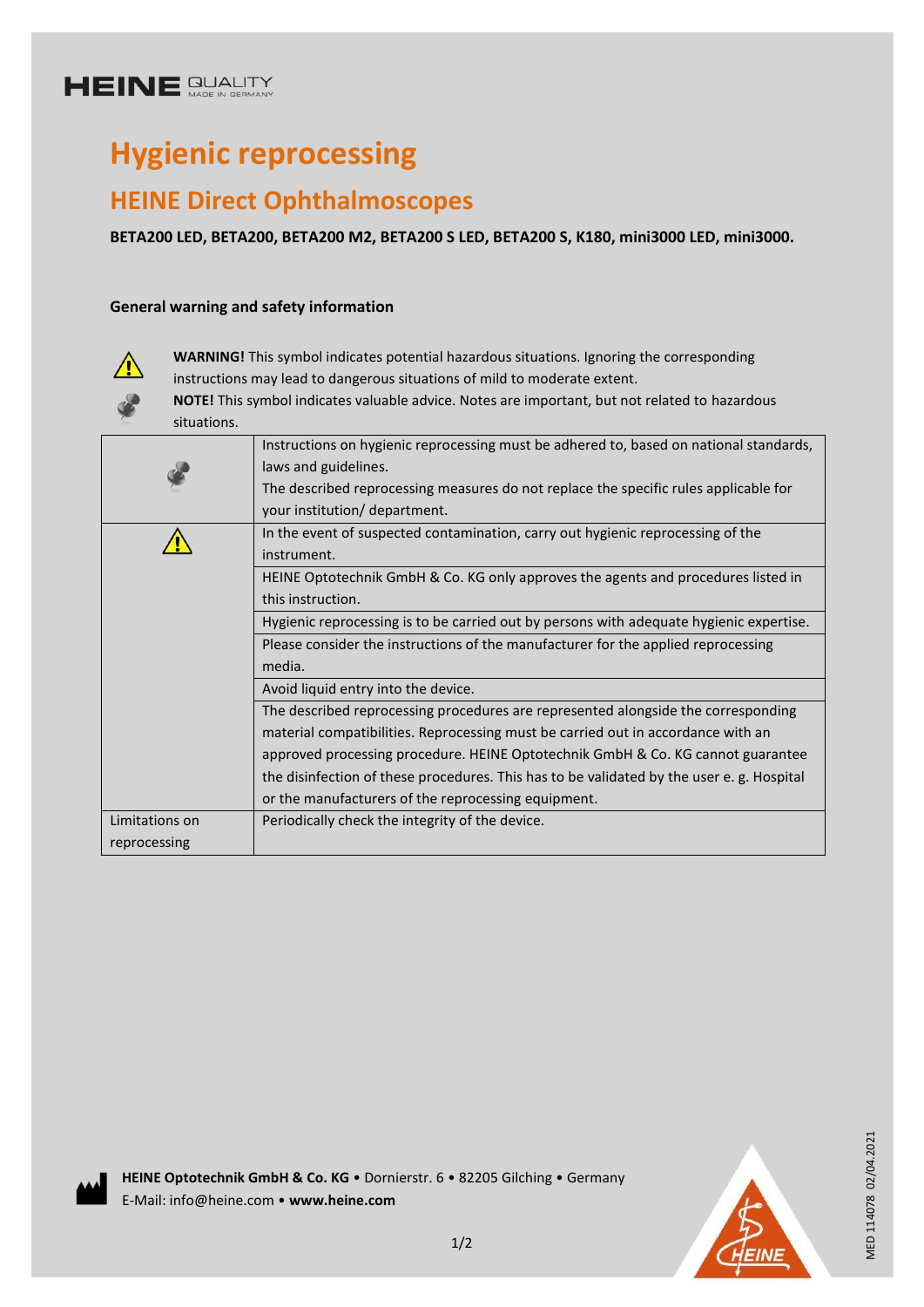# **HEINE GUALITY**

# **Hygienic reprocessing**

# **HEINE Direct Ophthalmoscopes**

**BETA200 LED, BETA200, BETA200 M2, BETA200 S LED, BETA200 S, K180, mini3000 LED, mini3000.**

### **General warning and safety information**



**WARNING!** This symbol indicates potential hazardous situations. Ignoring the corresponding instructions may lead to dangerous situations of mild to moderate extent.

**NOTE!** This symbol indicates valuable advice. Notes are important, but not related to hazardous situations.

| Instructions on hygienic reprocessing must be adhered to, based on national standards,   |
|------------------------------------------------------------------------------------------|
|                                                                                          |
| The described reprocessing measures do not replace the specific rules applicable for     |
|                                                                                          |
| In the event of suspected contamination, carry out hygienic reprocessing of the          |
|                                                                                          |
| HEINE Optotechnik GmbH & Co. KG only approves the agents and procedures listed in        |
|                                                                                          |
| Hygienic reprocessing is to be carried out by persons with adequate hygienic expertise.  |
| Please consider the instructions of the manufacturer for the applied reprocessing        |
|                                                                                          |
|                                                                                          |
| The described reprocessing procedures are represented alongside the corresponding        |
| material compatibilities. Reprocessing must be carried out in accordance with an         |
| approved processing procedure. HEINE Optotechnik GmbH & Co. KG cannot guarantee          |
| the disinfection of these procedures. This has to be validated by the user e.g. Hospital |
|                                                                                          |
|                                                                                          |
|                                                                                          |
|                                                                                          |

**HEINE Optotechnik GmbH & Co. KG** • Dornierstr. 6 • 82205 Gilching • Germany E-Mail: info@heine.com • **www.heine.com**